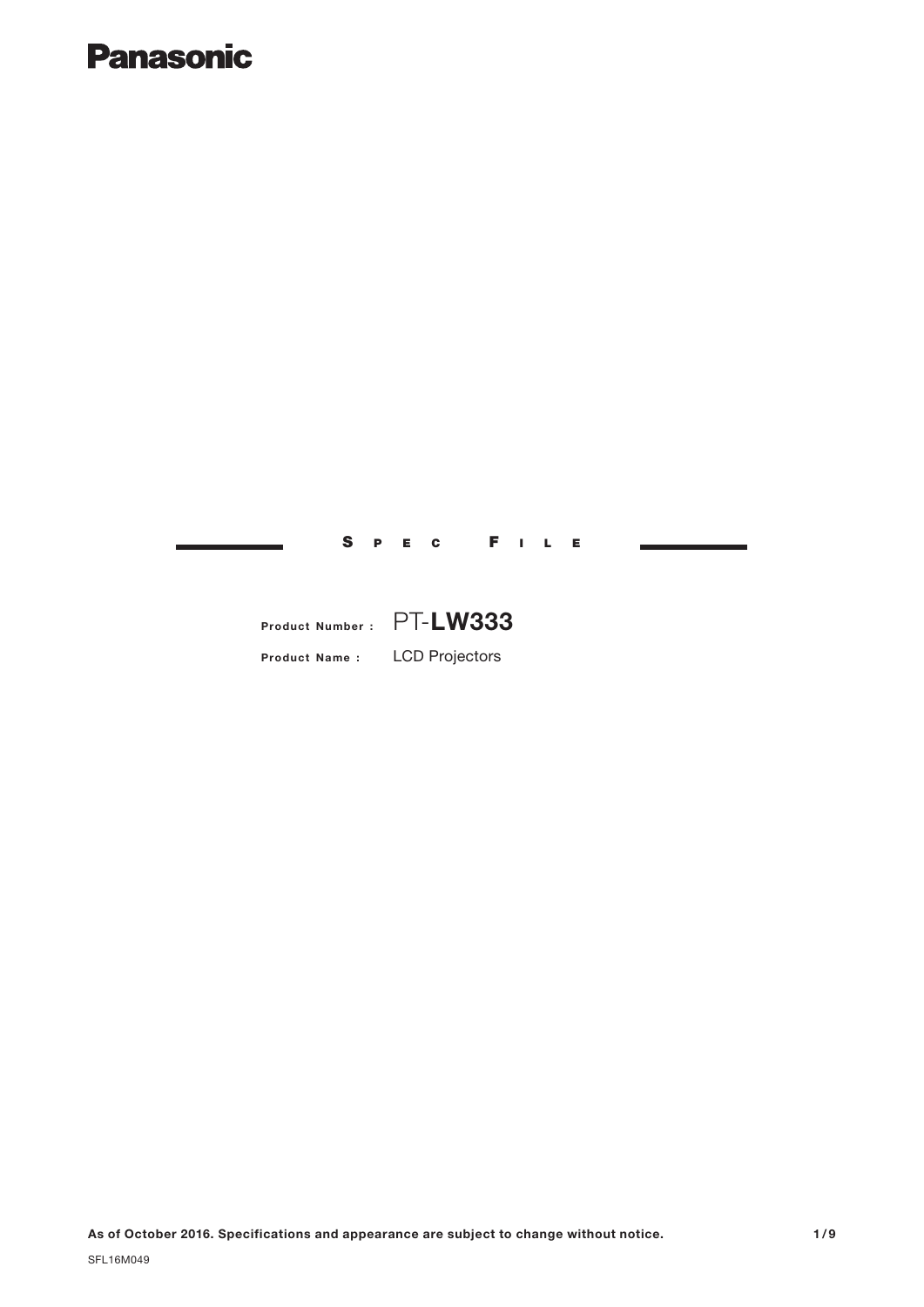# **Panasonic**

S P E C F I L E

# **Product Number :** PT-**LW333**

**Product Name :** LCD Projectors

**As of October 2016. Specifications and appearance are subject to change without notice.**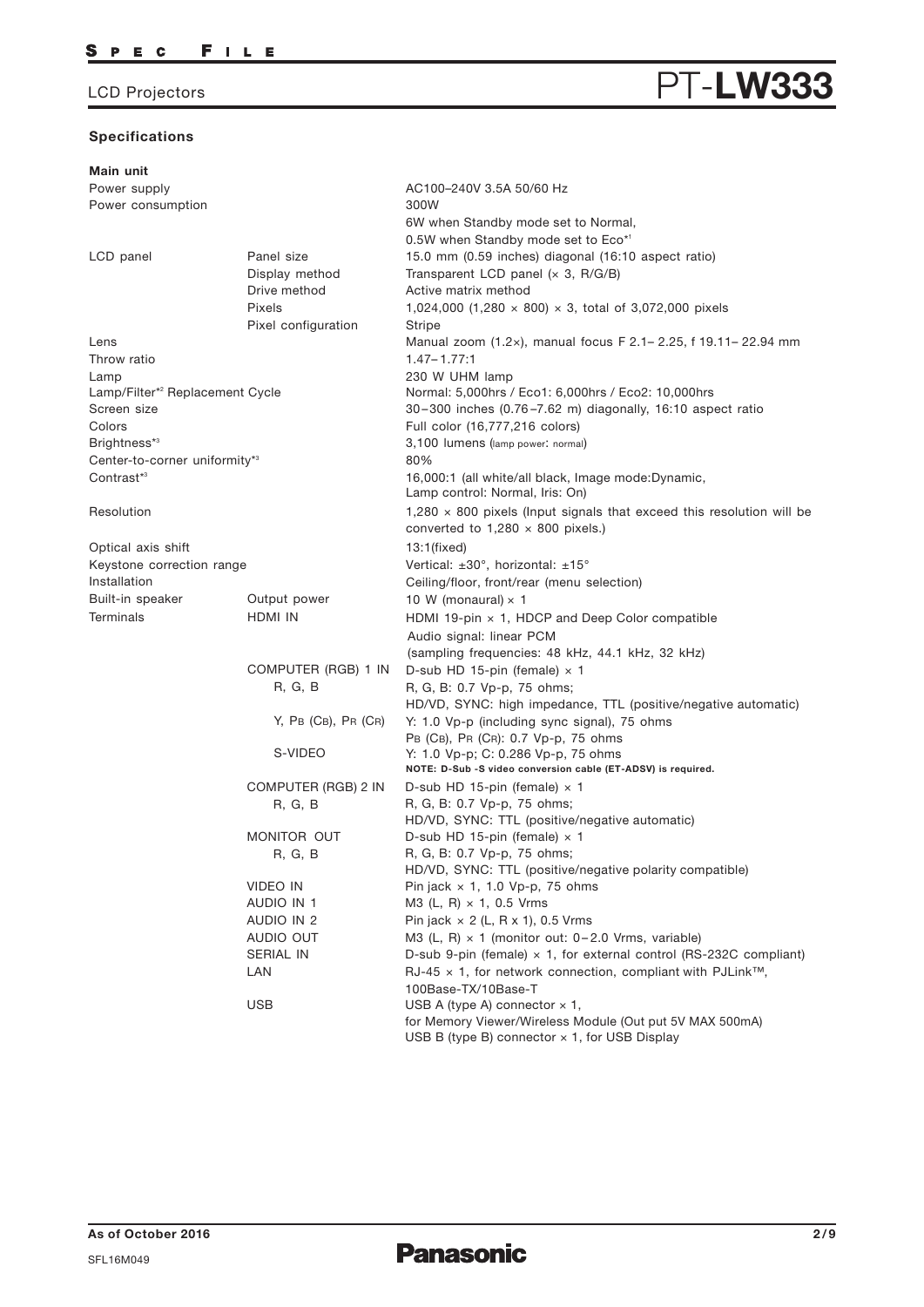# **Specifications**

| Main unit                                   |                              |                                                                                                                          |
|---------------------------------------------|------------------------------|--------------------------------------------------------------------------------------------------------------------------|
| Power supply                                |                              | AC100-240V 3.5A 50/60 Hz                                                                                                 |
| Power consumption                           |                              | 300W                                                                                                                     |
|                                             |                              | 6W when Standby mode set to Normal,                                                                                      |
|                                             |                              | 0.5W when Standby mode set to Eco*1                                                                                      |
| LCD panel                                   | Panel size<br>Display method | 15.0 mm (0.59 inches) diagonal (16:10 aspect ratio)<br>Transparent LCD panel $(x 3, R/G/B)$                              |
|                                             | Drive method                 | Active matrix method                                                                                                     |
|                                             | Pixels                       | 1,024,000 (1,280 $\times$ 800) $\times$ 3, total of 3,072,000 pixels                                                     |
|                                             | Pixel configuration          | Stripe                                                                                                                   |
| Lens                                        |                              | Manual zoom (1.2x), manual focus F 2.1-2.25, f 19.11-22.94 mm                                                            |
| Throw ratio                                 |                              | $1.47 - 1.77:1$                                                                                                          |
| Lamp                                        |                              | 230 W UHM lamp                                                                                                           |
| Lamp/Filter* <sup>2</sup> Replacement Cycle |                              | Normal: 5,000hrs / Eco1: 6,000hrs / Eco2: 10,000hrs                                                                      |
| Screen size                                 |                              | 30-300 inches (0.76-7.62 m) diagonally, 16:10 aspect ratio                                                               |
| Colors                                      |                              | Full color (16,777,216 colors)                                                                                           |
| Brightness*3                                |                              | 3,100 lumens (lamp power: normal)                                                                                        |
| Center-to-corner uniformity*3               |                              | 80%                                                                                                                      |
| Contrast*3                                  |                              | 16,000:1 (all white/all black, Image mode:Dynamic,<br>Lamp control: Normal, Iris: On)                                    |
| Resolution                                  |                              | $1,280 \times 800$ pixels (Input signals that exceed this resolution will be<br>converted to $1,280 \times 800$ pixels.) |
| Optical axis shift                          |                              | 13:1(fixed)                                                                                                              |
| Keystone correction range                   |                              | Vertical: ±30°, horizontal: ±15°                                                                                         |
| Installation                                |                              | Ceiling/floor, front/rear (menu selection)                                                                               |
| Built-in speaker                            | Output power                 | 10 W (monaural) $\times$ 1                                                                                               |
| <b>Terminals</b>                            | HDMI IN                      | HDMI 19-pin $\times$ 1, HDCP and Deep Color compatible                                                                   |
|                                             |                              | Audio signal: linear PCM                                                                                                 |
|                                             |                              | (sampling frequencies: 48 kHz, 44.1 kHz, 32 kHz)                                                                         |
|                                             | COMPUTER (RGB) 1 IN          | D-sub HD 15-pin (female) $\times$ 1                                                                                      |
|                                             | R, G, B                      | R, G, B: 0.7 Vp-p, 75 ohms;                                                                                              |
|                                             |                              | HD/VD, SYNC: high impedance, TTL (positive/negative automatic)                                                           |
|                                             | $Y$ , PB (CB), PR (CR)       | Y: 1.0 Vp-p (including sync signal), 75 ohms                                                                             |
|                                             |                              | PB (CB), PR (CR): 0.7 Vp-p, 75 ohms                                                                                      |
|                                             | S-VIDEO                      | Y: 1.0 Vp-p; C: 0.286 Vp-p, 75 ohms                                                                                      |
|                                             |                              | NOTE: D-Sub -S video conversion cable (ET-ADSV) is required.                                                             |
|                                             | COMPUTER (RGB) 2 IN          | D-sub HD 15-pin (female) $\times$ 1                                                                                      |
|                                             | R, G, B                      | R, G, B: 0.7 Vp-p, 75 ohms;                                                                                              |
|                                             |                              | HD/VD, SYNC: TTL (positive/negative automatic)                                                                           |
|                                             | MONITOR OUT                  | D-sub HD 15-pin (female) $\times$ 1<br>R, G, B: 0.7 Vp-p, 75 ohms;                                                       |
|                                             | R, G, B                      | HD/VD, SYNC: TTL (positive/negative polarity compatible)                                                                 |
|                                             | VIDEO IN                     | Pin jack $\times$ 1, 1.0 Vp-p, 75 ohms                                                                                   |
|                                             | AUDIO IN 1                   | M3 (L, R) $\times$ 1, 0.5 Vrms                                                                                           |
|                                             | AUDIO IN 2                   | Pin jack $\times$ 2 (L, R x 1), 0.5 Vrms                                                                                 |
|                                             | AUDIO OUT                    | M3 (L, R) $\times$ 1 (monitor out: 0-2.0 Vrms, variable)                                                                 |
|                                             | SERIAL IN                    | D-sub 9-pin (female) $\times$ 1, for external control (RS-232C compliant)                                                |
|                                             | LAN                          | $RJ-45 \times 1$ , for network connection, compliant with PJLink <sup>TM</sup> ,                                         |
|                                             |                              | 100Base-TX/10Base-T                                                                                                      |
|                                             | <b>USB</b>                   | USB A (type A) connector $\times$ 1,                                                                                     |
|                                             |                              | for Memory Viewer/Wireless Module (Out put 5V MAX 500mA)<br>USB B (type B) connector $\times$ 1, for USB Display         |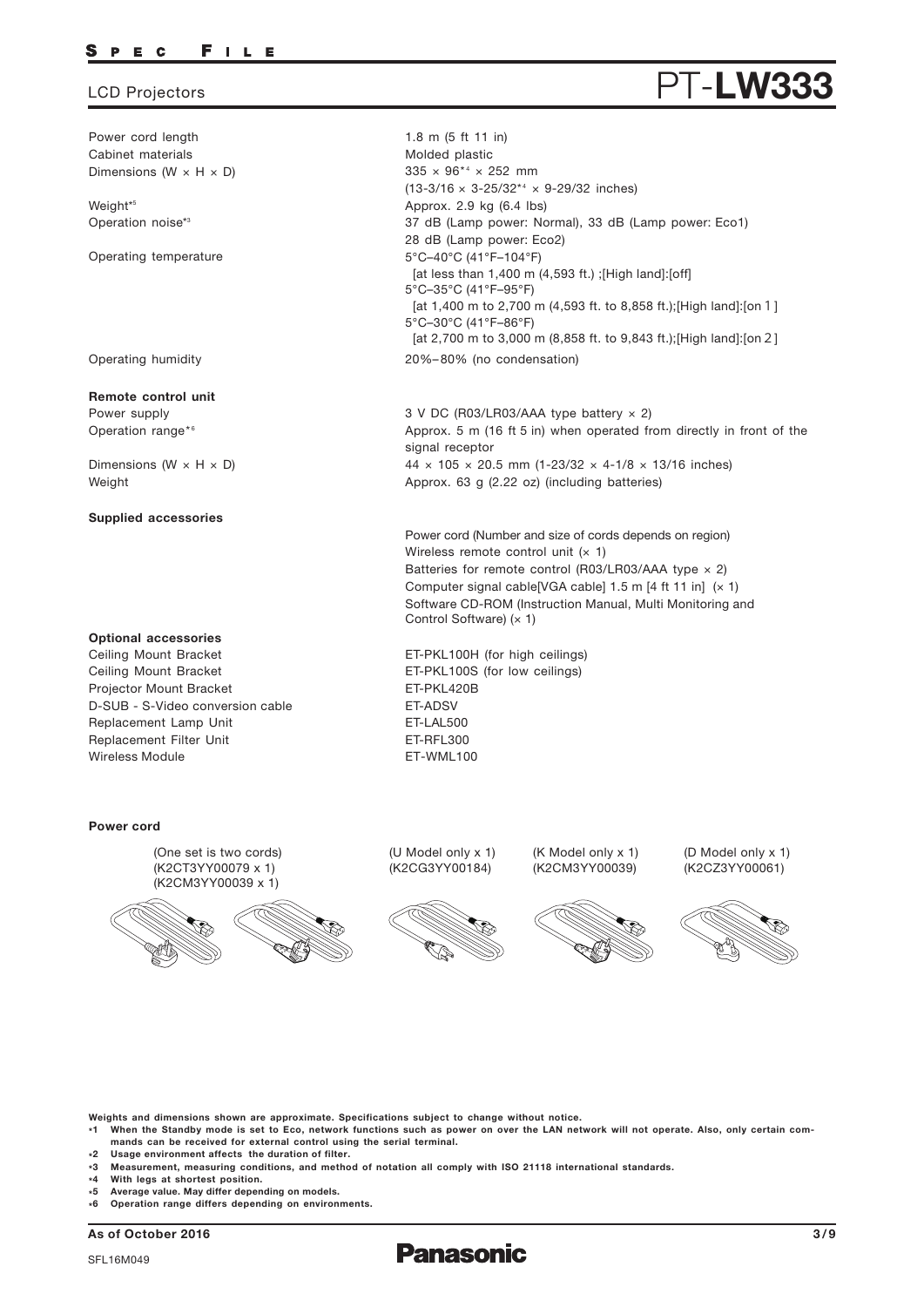### P E C FILE

Power cord length Cabinet materials Dimensions (W  $\times$  H  $\times$  D)

Weight\* 5 Operation noise\*<sup>3</sup>

Operating temperature

Operating humidity

**Remote control unit** Power supply

Operation range\*6

Dimensions ( $W \times H \times D$ ) Weight

**Supplied accessories**

### **Optional accessories**

Replacement Lamp Unit Replacement Filter Unit Ceiling Mount Bracket Ceiling Mount Bracket Projector Mount Bracket Wireless Module **ET-WML100** D-SUB - S-Video conversion cable FT-ADSV

### **Power cord**

(One set is two cords) (K2CT3YY00079 x 1) (K2CM3YY00039 x 1)



(U Model only x 1) (K2CG3YY00184)

ET-LAL500 ET-RFL300

ET-PKL420B

 $335 \times 96^{*4} \times 252$  mm

Approx. 2.9 kg (6.4 lbs)

5°C–40°C (41°F–104°F)

28 dB (Lamp power: Eco2)

5°C–35°C (41°F–95°F)

5°C–30°C (41°F–86°F)

signal receptor

20%–80% (no condensation)

3 V DC (R03/LR03/AAA type battery × 2)

Approx. 63 g (2.22 oz) (including batteries)

Wireless remote control unit  $(x 1)$ 

ET-PKL100H (for high ceilings) ET-PKL100S (for low ceilings)

Control Software) (x 1)

1.8 m (5 ft 11 in) Molded plastic

 $(13-3/16 \times 3-25/32^{*4} \times 9-29/32$  inches)

[at less than 1,400 m (4,593 ft.) ;[High land]:[off]

[at 1,400 m to 2,700 m (4,593 ft. to 8,858 ft.);[High land]:[on 1]

37 dB (Lamp power: Normal), 33 dB (Lamp power: Eco1)

[at 2,700 m to 3,000 m (8,858 ft. to 9,843 ft.);[High land]:[on2]

Approx. 5 m (16 ft 5 in) when operated from directly in front of the

 $44 \times 105 \times 20.5$  mm (1-23/32  $\times$  4-1/8  $\times$  13/16 inches)

Power cord (Number and size of cords depends on region)

Batteries for remote control (R03/LR03/AAA type  $\times$  2) Computer signal cable[VGA cable]  $1.5$  m [4 ft 11 in]  $(x 1)$ Software CD-ROM (Instruction Manual, Multi Monitoring and

> (K Model only x 1) (K2CM3YY00039)

(D Model only x 1) (K2CZ3YY00061)







**Weights and dimensions shown are approximate. Specifications subject to change without notice.**

**\*1 When the Standby mode is set to Eco, network functions such as power on over the LAN network will not operate. Also, only certain commands can be received for external control using the serial terminal.**

- **\*2 Usage environment affects the duration of filter.**
- **\*3 Measurement, measuring conditions, and method of notation all comply with ISO 21118 international standards.**
- **\* 4 With legs at shortest position.**
- **\* 5 Average value. May differ depending on models.**
- **\* 6 Operation range differs depending on environments.**

**As of October 2016 3/9**



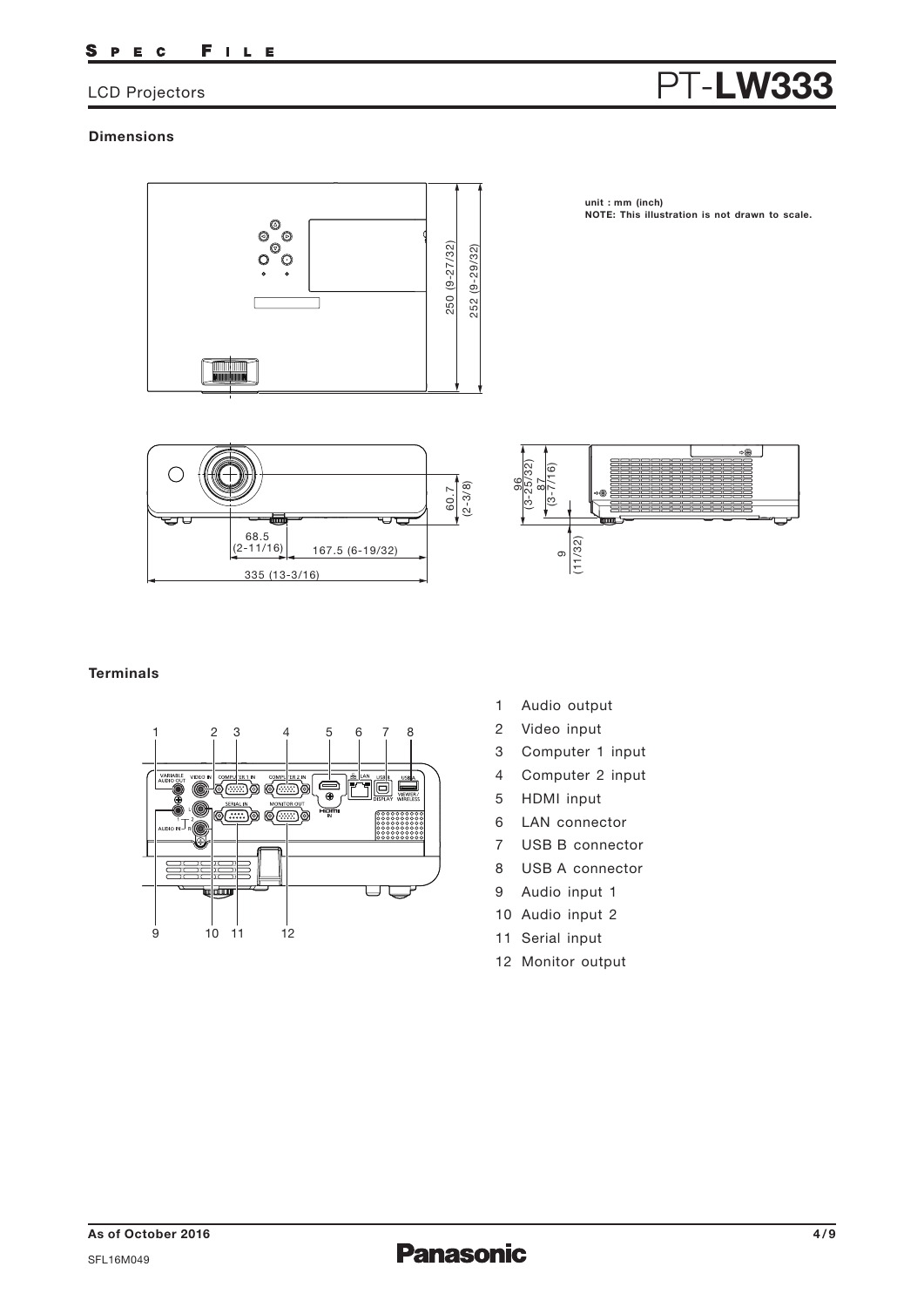### FILE S P E C

# LCD Projectors **PT-LW333**

# **Dimensions**



**unit : mm (inch) NOTE: This illustration is not drawn to scale.**





# **Terminals**



- 1 Audio output
- 2 Video input
- 3 Computer 1 input
- 4 Computer 2 input
- 5 HDMI input
- 6 LAN connector
- 7 USB B connector
- 8 USB A connector
- 9 Audio input 1
- 10 Audio input 2
- 11 Serial input
- 12 Monitor output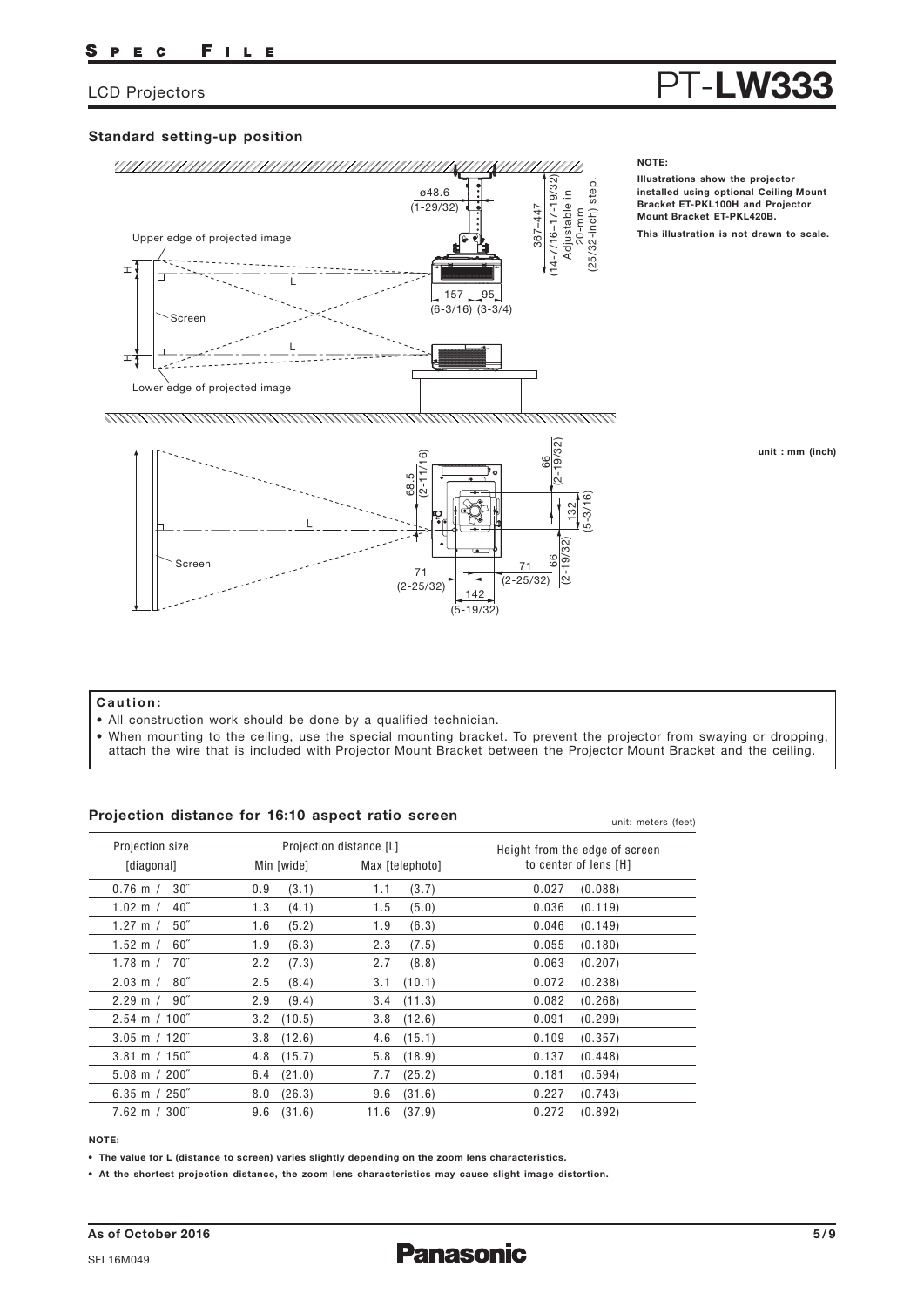**This illustration is not drawn to scale.**

**Illustrations show the projector installed using optional Ceiling Mount Bracket ET-PKL100H and Projector Mount Bracket ET-PKL420B.**

**NOTE:**

# **Standard setting-up position**



### **unit : mm (inch)**

## **Caution:**

- All construction work should be done by a qualified technician.
- When mounting to the ceiling, use the special mounting bracket. To prevent the projector from swaying or dropping,

 $(5 - 19/32)$ 

## **Projection distance for 16:10 aspect ratio screen**

| Projection distance for To: To aspect ratio screen |                |                         | unit: meters (feet)            |
|----------------------------------------------------|----------------|-------------------------|--------------------------------|
| Projection size                                    |                | Projection distance [L] | Height from the edge of screen |
| [diagonal]                                         | Min [wide]     | Max [telephoto]         | to center of lens [H]          |
| $30^{\prime\prime}$                                | 0.9            | (3.7)                   | (0.088)                        |
| $0.76$ m $/$                                       | (3.1)          | 1.1                     | 0.027                          |
| $40^{\circ}$                                       | 1.3            | (5.0)                   | 0.036                          |
| 1.02 m $/$                                         | (4.1)          | 1.5                     | (0.119)                        |
| 50 <sup>''</sup>                                   | 1.6            | 1.9                     | 0.046                          |
| 1.27 m $/$                                         | (5.2)          | (6.3)                   | (0.149)                        |
| $60^{\circ}$                                       | 1.9            | 2.3                     | 0.055                          |
| 1.52 m $/$                                         | (6.3)          | (7.5)                   | (0.180)                        |
| $70^{\circ}$                                       | 2.2            | 2.7                     | 0.063                          |
| 1.78 m $/$                                         | (7.3)          | (8.8)                   | (0.207)                        |
| $80^{\prime\prime}$                                | (8.4)          | (10.1)                  | 0.072                          |
| $2.03 \, \text{m}$ /                               | 2.5            | 3.1                     | (0.238)                        |
| $2.29 \text{ m} / 90$ "                            | 2.9            | (11.3)                  | 0.082                          |
|                                                    | (9.4)          | 3.4                     | (0.268)                        |
| $2.54 \text{ m} / 100^{\degree}$                   | $3.2$ (10.5)   | (12.6)<br>3.8           | 0.091<br>(0.299)               |
| $3.05$ m / 120 $"$                                 | $3.8$ $(12.6)$ | (15.1)<br>4.6           | 0.109<br>(0.357)               |
| $3.81 \text{ m} / 150$ "                           | $4.8$ $(15.7)$ | (18.9)<br>5.8           | 0.137<br>(0.448)               |
| $5.08 \text{ m} / 200$ "                           | $6.4$ $(21.0)$ | (25.2)<br>7.7           | 0.181<br>(0.594)               |
| 6.35 m $/250$ "                                    | (26.3)         | (31.6)                  | 0.227                          |
|                                                    | 8.0            | 9.6                     | (0.743)                        |
| $7.62 \, \text{m}$ / $300^{\degree}$               | 9.6            | (37.9)                  | 0.272                          |
|                                                    | (31.6)         | 11.6                    | (0.892)                        |

### **NOTE:**

**• The value for L (distance to screen) varies slightly depending on the zoom lens characteristics.**

**• At the shortest projection distance, the zoom lens characteristics may cause slight image distortion.**

SFL16M049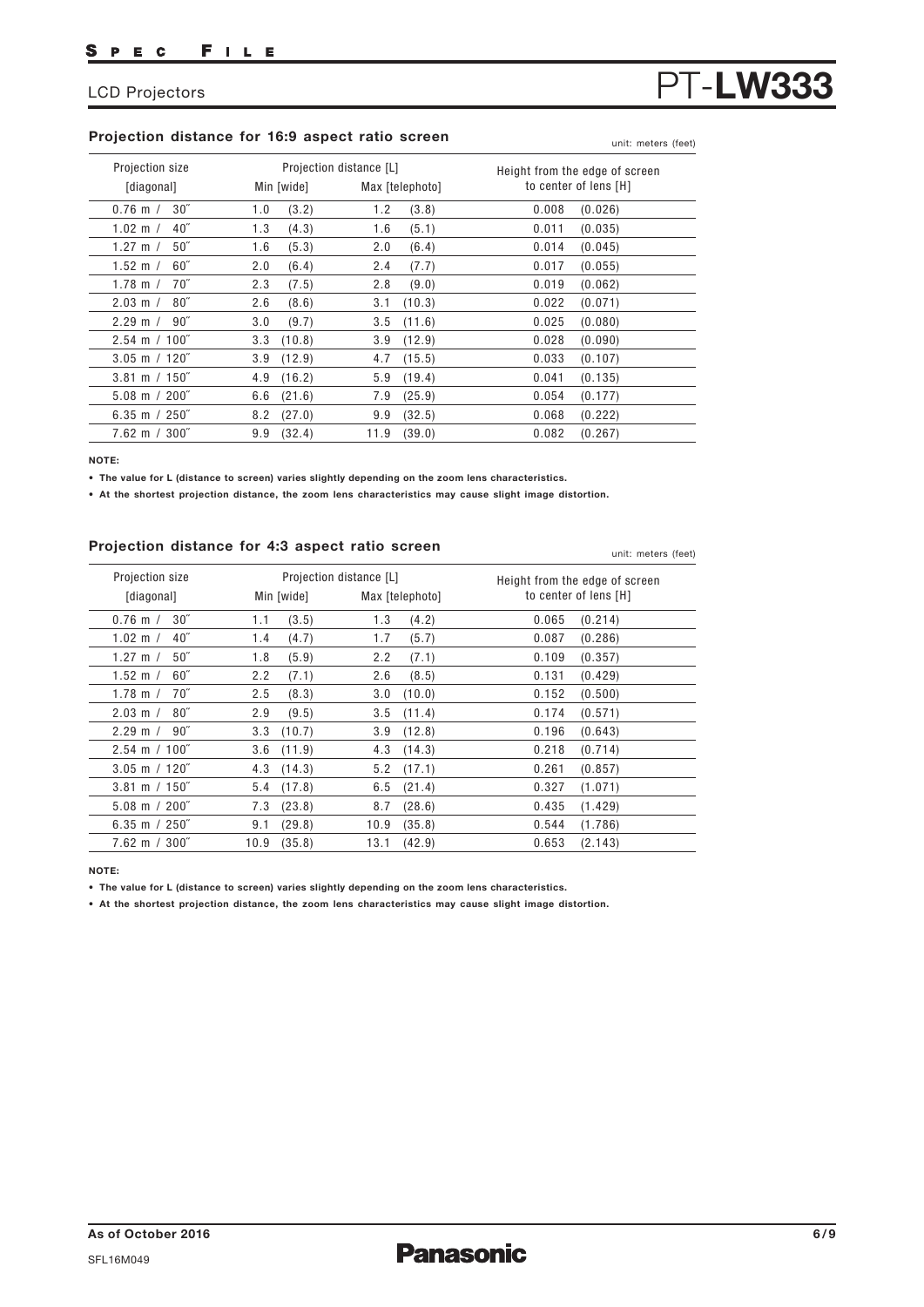# **Projection distance for 16:9 aspect ratio screen**

| Projection size          | Projection distance [L] | Max [telephoto] | Height from the edge of screen |
|--------------------------|-------------------------|-----------------|--------------------------------|
| [diagonal]               | Min [wide]              |                 | to center of lens [H]          |
| 30''                     | (3.2)                   | 1.2             | 0.008                          |
| $0.76$ m $/$             | 1.0                     | (3.8)           | (0.026)                        |
| 40 <sup>''</sup>         | (4.3)                   | 1.6             | 0.011                          |
| $1.02 \; m /$            | 1.3                     | (5.1)           | (0.035)                        |
| 50 <sup>''</sup>         | (5.3)                   | 2.0             | 0.014                          |
| 1.27 m $/$               | 1.6                     | (6.4)           | (0.045)                        |
| 60''                     | (6.4)                   | (7.7)           | 0.017                          |
| 1.52 m $/$               | 2.0                     | 2.4             | (0.055)                        |
| $70^{\prime\prime}$      | 2.3                     | (9.0)           | 0.019                          |
| 1.78 m $/$               | (7.5)                   | 2.8             | (0.062)                        |
| $80^{\circ}$             | (8.6)                   | (10.3)          | 0.022                          |
| $2.03 \; \text{m}$ /     | 2.6                     | 3.1             | (0.071)                        |
| $90^{\circ}$             | 3.0                     | 3.5             | (0.080)                        |
| $2.29 \; \mathrm{m}$ /   | (9.7)                   | (11.6)          | 0.025                          |
| $2.54 \text{ m} / 100$ " | (10.8)                  | (12.9)          | 0.028                          |
|                          | 3.3                     | 3.9             | (0.090)                        |
| $3.05$ m / 120"          | 3.9                     | (15.5)          | 0.033                          |
|                          | (12.9)                  | 4.7             | (0.107)                        |
| $3.81 \text{ m} / 150$ " | 4.9                     | (19.4)          | 0.041                          |
|                          | (16.2)                  | 5.9             | (0.135)                        |
| $5.08 \text{ m} / 200$ " | (21.6)                  | 7.9             | 0.054                          |
|                          | 6.6                     | (25.9)          | (0.177)                        |
| 6.35 m $/250$ "          | (27.0)                  | (32.5)          | 0.068                          |
|                          | 8.2                     | 9.9             | (0.222)                        |
| $7.62 \text{ m} / 300$ " | (32.4)                  | 11.9            | 0.082                          |
|                          | 9.9                     | (39.0)          | (0.267)                        |

**NOTE:**

**• The value for L (distance to screen) varies slightly depending on the zoom lens characteristics.**

**• At the shortest projection distance, the zoom lens characteristics may cause slight image distortion.**

## **Projection distance for 4:3 aspect ratio screen**

| Projection size                          |         |            | Projection distance [L] |                 |       | Height from the edge of screen |
|------------------------------------------|---------|------------|-------------------------|-----------------|-------|--------------------------------|
| [diagonal]                               |         | Min [wide] |                         | Max [telephoto] |       | to center of lens [H]          |
| 30 <sup>''</sup><br>$0.76$ m $/$         | 1.1     | (3.5)      | 1.3                     | (4.2)           | 0.065 | (0.214)                        |
| 40 <sup>''</sup><br>$1.02 \, \text{m}$ / | 1.4     | (4.7)      | 1.7                     | (5.7)           | 0.087 | (0.286)                        |
| 50 <sup>''</sup><br>1.27 m $/$           | 1.8     | (5.9)      | 2.2                     | (7.1)           | 0.109 | (0.357)                        |
| $60^{\circ}$<br>1.52 m $/$               | 2.2     | (7.1)      | 2.6                     | (8.5)           | 0.131 | (0.429)                        |
| 70"<br>1.78 m $/$                        | $2.5\,$ | (8.3)      | 3.0                     | (10.0)          | 0.152 | (0.500)                        |
| $80^{\circ}$<br>$2.03 \; \text{m}$ /     | 2.9     | (9.5)      | 3.5                     | (11.4)          | 0.174 | (0.571)                        |
| $90^{\circ}$<br>$2.29 \; \mathrm{m}$ /   | 3.3     | (10.7)     | 3.9                     | (12.8)          | 0.196 | (0.643)                        |
| $2.54 \text{ m} / 100$ "                 | 3.6     | (11.9)     | 4.3                     | (14.3)          | 0.218 | (0.714)                        |
| $3.05$ m / 120"                          | 4.3     | (14.3)     | 5.2                     | (17.1)          | 0.261 | (0.857)                        |
| $3.81 \text{ m} / 150$ "                 | 5.4     | (17.8)     | 6.5                     | (21.4)          | 0.327 | (1.071)                        |
| $5.08 \text{ m} / 200^{\degree}$         | 7.3     | (23.8)     | 8.7                     | (28.6)          | 0.435 | (1.429)                        |
| 6.35 m $/250$ "                          | 9.1     | (29.8)     | 10.9                    | (35.8)          | 0.544 | (1.786)                        |
| $7.62 \, \text{m}$ / $300^{\degree}$     | 10.9    | (35.8)     | 13.1                    | (42.9)          | 0.653 | (2.143)                        |

**NOTE:**

**• The value for L (distance to screen) varies slightly depending on the zoom lens characteristics.**

**• At the shortest projection distance, the zoom lens characteristics may cause slight image distortion.**

unit: meters (feet)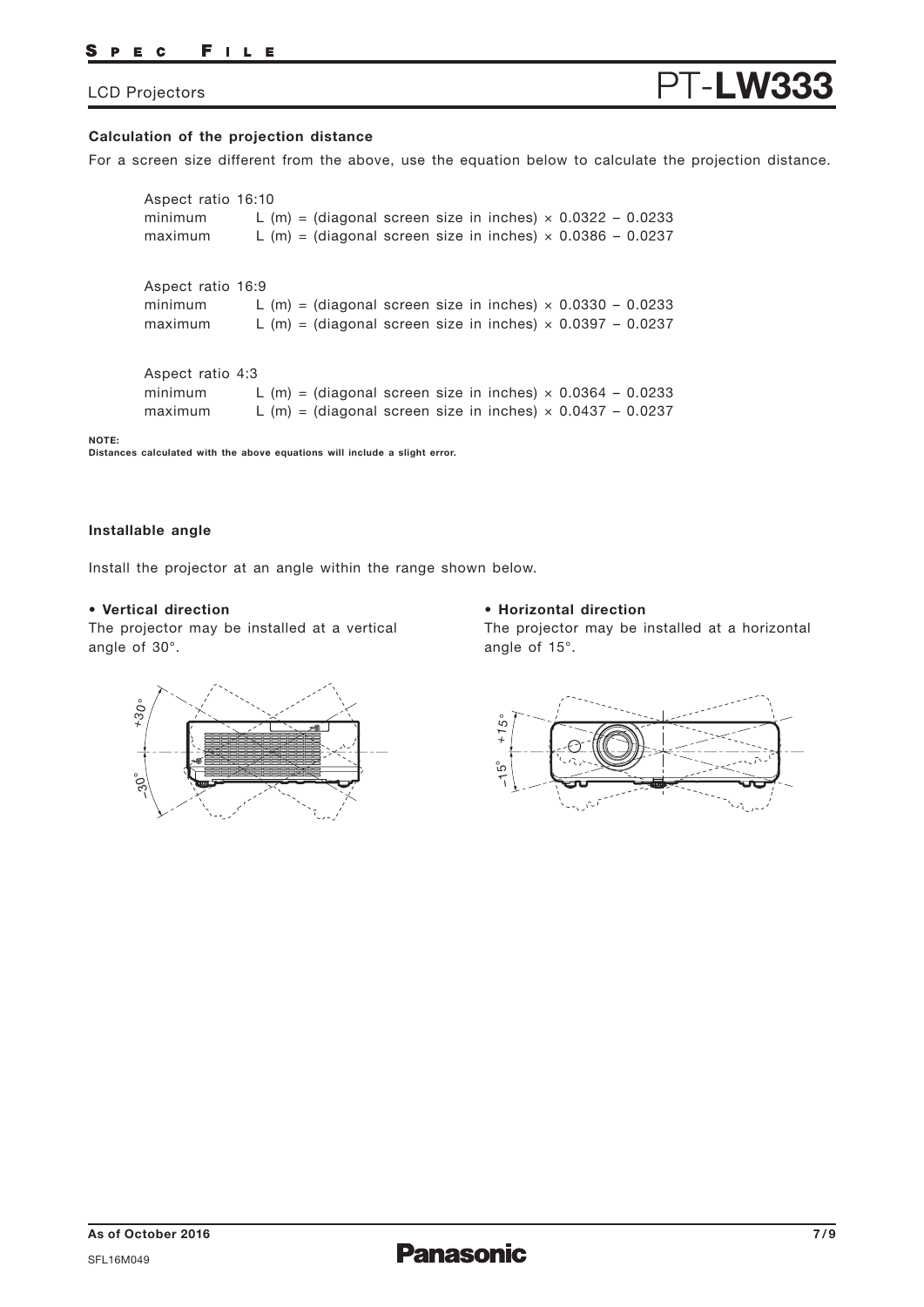### PEC FILE

# LCD Projectors **PT-LW3**

## **Calculation of the projection distance**

For a screen size different from the above, use the equation below to calculate the projection distance.

Aspect ratio 16:9 minimum L (m) = (diagonal screen size in inches)  $\times$  0.0330 - 0.0233 maximum L (m) = (diagonal screen size in inches)  $\times$  0.0397 - 0.0237 Aspect ratio 16:10 minimum L (m) = (diagonal screen size in inches)  $\times$  0.0322 - 0.0233 maximum L (m) = (diagonal screen size in inches)  $\times$  0.0386 - 0.0237 Aspect ratio 4:3 minimum L  $(m)$  = (diagonal screen size in inches)  $\times$  0.0364 - 0.0233 maximum L  $(m)$  = (diagonal screen size in inches)  $\times$  0.0437 - 0.0237

**Distances calculated with the above equations will include a slight error.**

### **Installable angle**

**NOTE:** 

Install the projector at an angle within the range shown below.

## **• Vertical direction**

The projector may be installed at a vertical angle of 30°.

## **• Horizontal direction**

The projector may be installed at a horizontal angle of 15°.



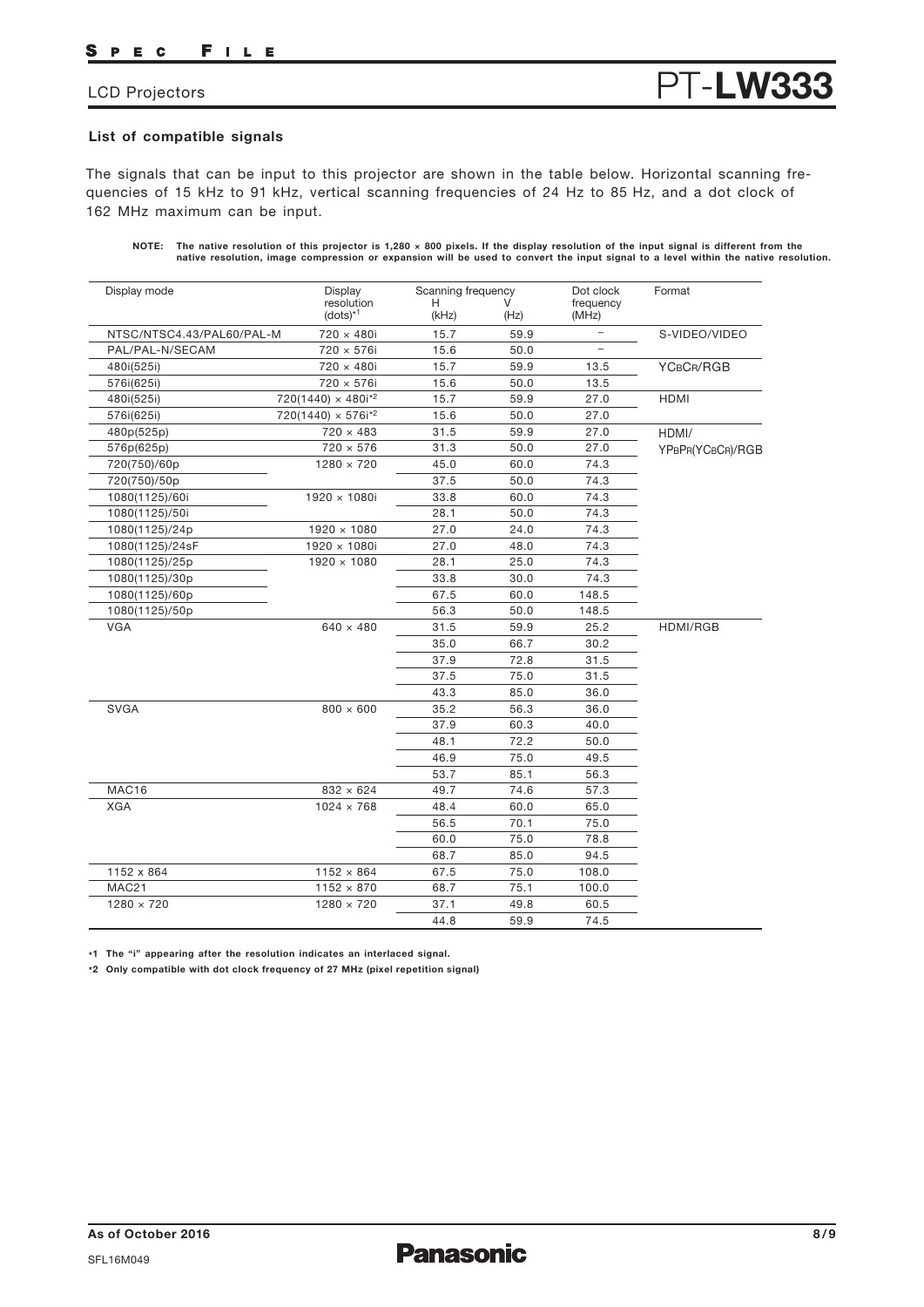### FILE S PEC

# LCD Projectors **PT-LW33**

## **List of compatible signals**

The signals that can be input to this projector are shown in the table below. Horizontal scanning frequencies of 15 kHz to 91 kHz, vertical scanning frequencies of 24 Hz to 85 Hz, and a dot clock of 162 MHz maximum can be input.

| NOTE: The native resolution of this projector is 1,280 $\times$ 800 pixels. If the display resolution of the input signal is different from the |
|-------------------------------------------------------------------------------------------------------------------------------------------------|
| native resolution, image compression or expansion will be used to convert the input signal to a level within the native resolution.             |

| Display mode              | Display                      | Scanning frequency |      | Dot clock                | Format           |
|---------------------------|------------------------------|--------------------|------|--------------------------|------------------|
|                           | resolution<br>$(dots)^{*1}$  | н<br>(kHz)         | (Hz) | frequency<br>(MHz)       |                  |
| NTSC/NTSC4.43/PAL60/PAL-M | 720 × 480i                   | 15.7               | 59.9 | $\overline{\phantom{0}}$ | S-VIDEO/VIDEO    |
| PAL/PAL-N/SECAM           | 720 × 576i                   | 15.6               | 50.0 | $\overline{a}$           |                  |
| 480i(525i)                | 720 × 480i                   | 15.7               | 59.9 | 13.5                     | YCBCR/RGB        |
| 576i(625i)                | 720 × 576i                   | 15.6               | 50.0 | 13.5                     |                  |
| 480i(525i)                | $720(1440) \times 480i^{2}$  | 15.7               | 59.9 | 27.0                     | <b>HDMI</b>      |
| 576i(625i)                | $720(1440) \times 576i^{*2}$ | 15.6               | 50.0 | 27.0                     |                  |
| 480p(525p)                | $720 \times 483$             | 31.5               | 59.9 | 27.0                     | HDMI/            |
| 576p(625p)                | $720 \times 576$             | 31.3               | 50.0 | 27.0                     | YPBPR(YCBCR)/RGB |
| 720(750)/60p              | $1280 \times 720$            | 45.0               | 60.0 | 74.3                     |                  |
| 720(750)/50p              |                              | 37.5               | 50.0 | 74.3                     |                  |
| 1080(1125)/60i            | $1920 \times 1080i$          | 33.8               | 60.0 | 74.3                     |                  |
| 1080(1125)/50i            |                              | 28.1               | 50.0 | 74.3                     |                  |
| 1080(1125)/24p            | 1920 × 1080                  | 27.0               | 24.0 | 74.3                     |                  |
| 1080(1125)/24sF           | 1920 × 1080i                 | 27.0               | 48.0 | 74.3                     |                  |
| 1080(1125)/25p            | $1920 \times 1080$           | 28.1               | 25.0 | 74.3                     |                  |
| 1080(1125)/30p            |                              | 33.8               | 30.0 | 74.3                     |                  |
| 1080(1125)/60p            |                              | 67.5               | 60.0 | 148.5                    |                  |
| 1080(1125)/50p            |                              | 56.3               | 50.0 | 148.5                    |                  |
| VGA                       | $640 \times 480$             | 31.5               | 59.9 | 25.2                     | HDMI/RGB         |
|                           |                              | 35.0               | 66.7 | 30.2                     |                  |
|                           |                              | 37.9               | 72.8 | 31.5                     |                  |
|                           |                              | 37.5               | 75.0 | 31.5                     |                  |
|                           |                              | 43.3               | 85.0 | 36.0                     |                  |
| <b>SVGA</b>               | $800 \times 600$             | 35.2               | 56.3 | 36.0                     |                  |
|                           |                              | 37.9               | 60.3 | 40.0                     |                  |
|                           |                              | 48.1               | 72.2 | 50.0                     |                  |
|                           |                              | 46.9               | 75.0 | 49.5                     |                  |
|                           |                              | 53.7               | 85.1 | 56.3                     |                  |
| MAC16                     | $832 \times 624$             | 49.7               | 74.6 | 57.3                     |                  |
| <b>XGA</b>                | $1024 \times 768$            | 48.4               | 60.0 | 65.0                     |                  |
|                           |                              | 56.5               | 70.1 | 75.0                     |                  |
|                           |                              | 60.0               | 75.0 | 78.8                     |                  |
|                           |                              | 68.7               | 85.0 | 94.5                     |                  |
| 1152 x 864                | $1152 \times 864$            | 67.5               | 75.0 | 108.0                    |                  |
| MAC21                     | $1152 \times 870$            | 68.7               | 75.1 | 100.0                    |                  |
| $1280 \times 720$         | $1280 \times 720$            | 37.1               | 49.8 | 60.5                     |                  |
|                           |                              | 44.8               | 59.9 | 74.5                     |                  |

**\*1 The "i" appearing after the resolution indicates an interlaced signal.**

**\*2 Only compatible with dot clock frequency of 27 MHz (pixel repetition signal)**